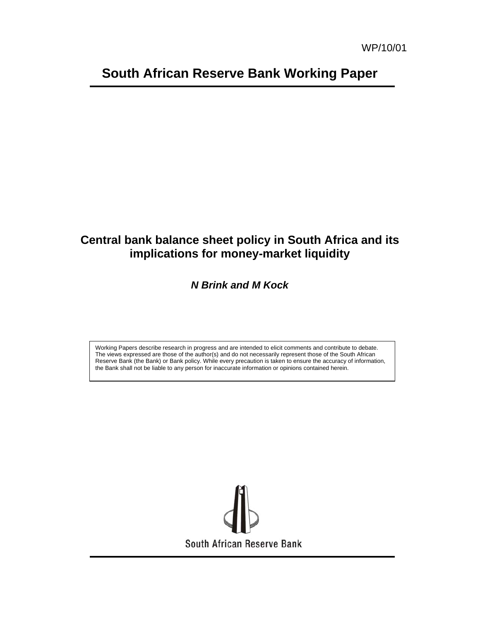# **South African Reserve Bank Working Paper**

## **Central bank balance sheet policy in South Africa and its implications for money-market liquidity**

## *N Brink and M Kock*

Working Papers describe research in progress and are intended to elicit comments and contribute to debate. The views expressed are those of the author(s) and do not necessarily represent those of the South African Reserve Bank (the Bank) or Bank policy. While every precaution is taken to ensure the accuracy of information, the Bank shall not be liable to any person for inaccurate information or opinions contained herein.

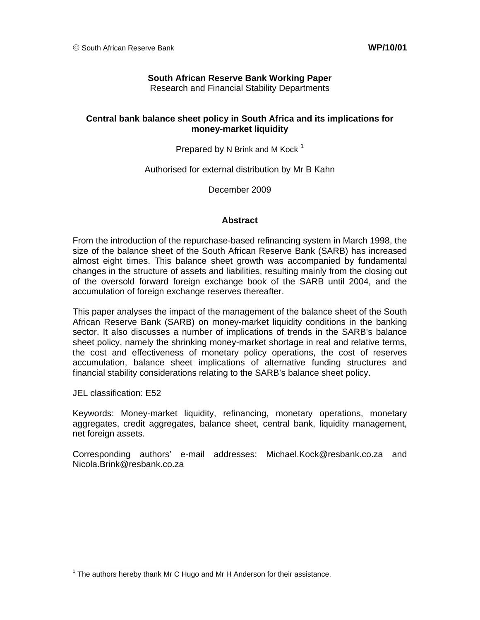## **South African Reserve Bank Working Paper**

Research and Financial Stability Departments

## **Central bank balance sheet policy in South Africa and its implications for money-market liquidity**

Prepared by N Brink and M Kock  $1$ 

Authorised for external distribution by Mr B Kahn

December 2009

#### **Abstract**

From the introduction of the repurchase-based refinancing system in March 1998, the size of the balance sheet of the South African Reserve Bank (SARB) has increased almost eight times. This balance sheet growth was accompanied by fundamental changes in the structure of assets and liabilities, resulting mainly from the closing out of the oversold forward foreign exchange book of the SARB until 2004, and the accumulation of foreign exchange reserves thereafter.

This paper analyses the impact of the management of the balance sheet of the South African Reserve Bank (SARB) on money-market liquidity conditions in the banking sector. It also discusses a number of implications of trends in the SARB's balance sheet policy, namely the shrinking money-market shortage in real and relative terms, the cost and effectiveness of monetary policy operations, the cost of reserves accumulation, balance sheet implications of alternative funding structures and financial stability considerations relating to the SARB's balance sheet policy.

JEL classification: E52

 $\overline{a}$ 

Keywords: Money-market liquidity, refinancing, monetary operations, monetary aggregates, credit aggregates, balance sheet, central bank, liquidity management, net foreign assets.

Corresponding authors' e-mail addresses: Michael.Kock@resbank.co.za and Nicola.Brink@resbank.co.za

 $1$  The authors hereby thank Mr C Hugo and Mr H Anderson for their assistance.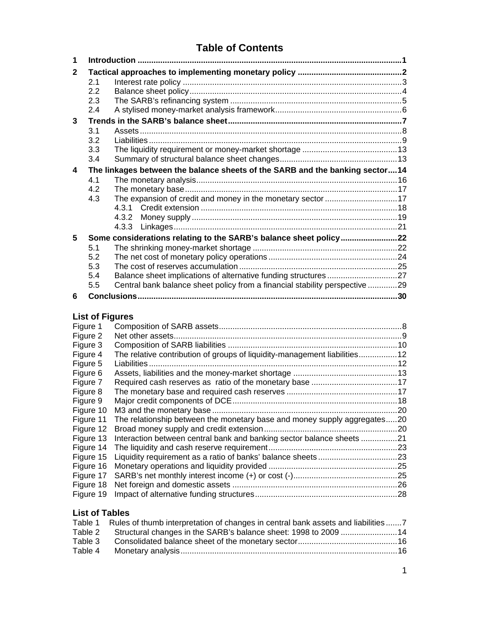## **Table of Contents**

| 1 |     |                                                                              |  |
|---|-----|------------------------------------------------------------------------------|--|
| 2 |     |                                                                              |  |
|   | 2.1 |                                                                              |  |
|   | 2.2 |                                                                              |  |
|   | 2.3 |                                                                              |  |
|   | 2.4 |                                                                              |  |
| 3 |     |                                                                              |  |
|   | 3.1 |                                                                              |  |
|   | 3.2 |                                                                              |  |
|   | 3.3 |                                                                              |  |
|   | 3.4 |                                                                              |  |
| 4 |     | The linkages between the balance sheets of the SARB and the banking sector14 |  |
|   | 4.1 |                                                                              |  |
|   | 4.2 |                                                                              |  |
|   | 4.3 | The expansion of credit and money in the monetary sector 17                  |  |
|   |     | 4.3.1                                                                        |  |
|   |     | 4.3.2                                                                        |  |
|   |     | 4.3.3                                                                        |  |
| 5 |     | Some considerations relating to the SARB's balance sheet policy22            |  |
|   | 5.1 |                                                                              |  |
|   | 5.2 |                                                                              |  |
|   | 5.3 |                                                                              |  |
|   | 5.4 |                                                                              |  |
|   | 5.5 | Central bank balance sheet policy from a financial stability perspective 29  |  |
| 6 |     |                                                                              |  |
|   |     |                                                                              |  |

## **List of Figures**

| Figure 1  |                                                                           |     |
|-----------|---------------------------------------------------------------------------|-----|
| Figure 2  |                                                                           |     |
| Figure 3  |                                                                           |     |
| Figure 4  | The relative contribution of groups of liquidity-management liabilities12 |     |
| Figure 5  |                                                                           |     |
| Figure 6  |                                                                           |     |
| Figure 7  |                                                                           |     |
| Figure 8  |                                                                           |     |
| Figure 9  |                                                                           |     |
| Figure 10 |                                                                           | .20 |
| Figure 11 | The relationship between the monetary base and money supply aggregates20  |     |
| Figure 12 |                                                                           |     |
| Figure 13 | Interaction between central bank and banking sector balance sheets 21     |     |
| Figure 14 |                                                                           |     |
| Figure 15 |                                                                           |     |
| Figure 16 |                                                                           |     |
| Figure 17 |                                                                           |     |
| Figure 18 |                                                                           |     |
| Figure 19 |                                                                           |     |
|           |                                                                           |     |

## **List of Tables**

|         | Table 1 Rules of thumb interpretation of changes in central bank assets and liabilities7 |  |
|---------|------------------------------------------------------------------------------------------|--|
|         | Table 2 Structural changes in the SARB's balance sheet: 1998 to 2009  14                 |  |
| Table 3 |                                                                                          |  |
| Table 4 |                                                                                          |  |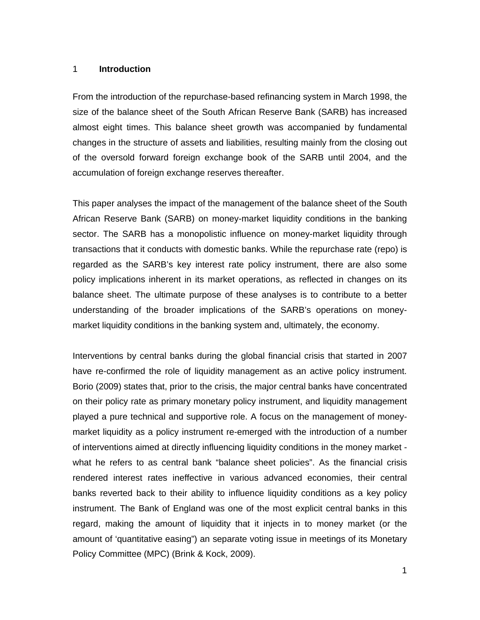#### 1 **Introduction**

From the introduction of the repurchase-based refinancing system in March 1998, the size of the balance sheet of the South African Reserve Bank (SARB) has increased almost eight times. This balance sheet growth was accompanied by fundamental changes in the structure of assets and liabilities, resulting mainly from the closing out of the oversold forward foreign exchange book of the SARB until 2004, and the accumulation of foreign exchange reserves thereafter.

This paper analyses the impact of the management of the balance sheet of the South African Reserve Bank (SARB) on money-market liquidity conditions in the banking sector. The SARB has a monopolistic influence on money-market liquidity through transactions that it conducts with domestic banks. While the repurchase rate (repo) is regarded as the SARB's key interest rate policy instrument, there are also some policy implications inherent in its market operations, as reflected in changes on its balance sheet. The ultimate purpose of these analyses is to contribute to a better understanding of the broader implications of the SARB's operations on moneymarket liquidity conditions in the banking system and, ultimately, the economy.

Interventions by central banks during the global financial crisis that started in 2007 have re-confirmed the role of liquidity management as an active policy instrument. Borio (2009) states that, prior to the crisis, the major central banks have concentrated on their policy rate as primary monetary policy instrument, and liquidity management played a pure technical and supportive role. A focus on the management of moneymarket liquidity as a policy instrument re-emerged with the introduction of a number of interventions aimed at directly influencing liquidity conditions in the money market what he refers to as central bank "balance sheet policies". As the financial crisis rendered interest rates ineffective in various advanced economies, their central banks reverted back to their ability to influence liquidity conditions as a key policy instrument. The Bank of England was one of the most explicit central banks in this regard, making the amount of liquidity that it injects in to money market (or the amount of 'quantitative easing") an separate voting issue in meetings of its Monetary Policy Committee (MPC) (Brink & Kock, 2009).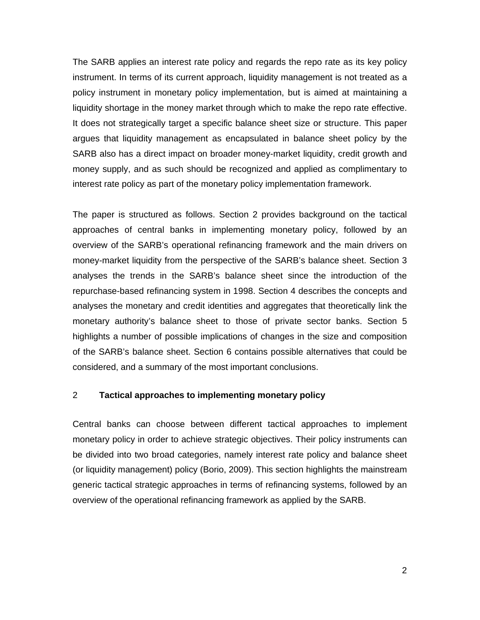The SARB applies an interest rate policy and regards the repo rate as its key policy instrument. In terms of its current approach, liquidity management is not treated as a policy instrument in monetary policy implementation, but is aimed at maintaining a liquidity shortage in the money market through which to make the repo rate effective. It does not strategically target a specific balance sheet size or structure. This paper argues that liquidity management as encapsulated in balance sheet policy by the SARB also has a direct impact on broader money-market liquidity, credit growth and money supply, and as such should be recognized and applied as complimentary to interest rate policy as part of the monetary policy implementation framework.

The paper is structured as follows. Section 2 provides background on the tactical approaches of central banks in implementing monetary policy, followed by an overview of the SARB's operational refinancing framework and the main drivers on money-market liquidity from the perspective of the SARB's balance sheet. Section 3 analyses the trends in the SARB's balance sheet since the introduction of the repurchase-based refinancing system in 1998. Section 4 describes the concepts and analyses the monetary and credit identities and aggregates that theoretically link the monetary authority's balance sheet to those of private sector banks. Section 5 highlights a number of possible implications of changes in the size and composition of the SARB's balance sheet. Section 6 contains possible alternatives that could be considered, and a summary of the most important conclusions.

#### 2 **Tactical approaches to implementing monetary policy**

Central banks can choose between different tactical approaches to implement monetary policy in order to achieve strategic objectives. Their policy instruments can be divided into two broad categories, namely interest rate policy and balance sheet (or liquidity management) policy (Borio, 2009). This section highlights the mainstream generic tactical strategic approaches in terms of refinancing systems, followed by an overview of the operational refinancing framework as applied by the SARB.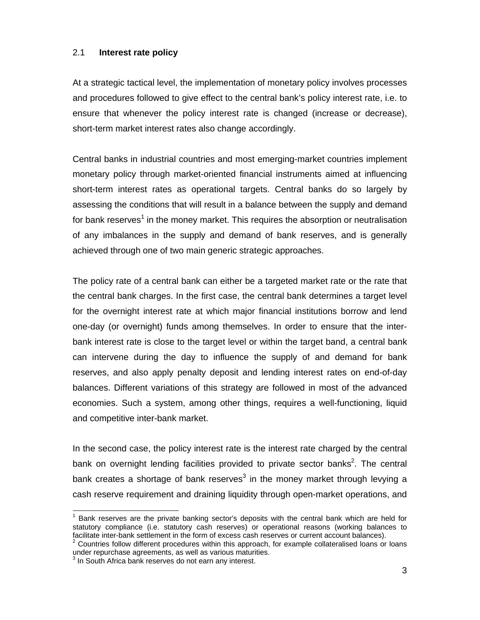### 2.1 **Interest rate policy**

At a strategic tactical level, the implementation of monetary policy involves processes and procedures followed to give effect to the central bank's policy interest rate, i.e. to ensure that whenever the policy interest rate is changed (increase or decrease), short-term market interest rates also change accordingly.

Central banks in industrial countries and most emerging-market countries implement monetary policy through market-oriented financial instruments aimed at influencing short-term interest rates as operational targets. Central banks do so largely by assessing the conditions that will result in a balance between the supply and demand for bank reserves<sup>1</sup> in the money market. This requires the absorption or neutralisation of any imbalances in the supply and demand of bank reserves, and is generally achieved through one of two main generic strategic approaches.

The policy rate of a central bank can either be a targeted market rate or the rate that the central bank charges. In the first case, the central bank determines a target level for the overnight interest rate at which major financial institutions borrow and lend one-day (or overnight) funds among themselves. In order to ensure that the interbank interest rate is close to the target level or within the target band, a central bank can intervene during the day to influence the supply of and demand for bank reserves, and also apply penalty deposit and lending interest rates on end-of-day balances. Different variations of this strategy are followed in most of the advanced economies. Such a system, among other things, requires a well-functioning, liquid and competitive inter-bank market.

In the second case, the policy interest rate is the interest rate charged by the central bank on overnight lending facilities provided to private sector banks<sup>2</sup>. The central bank creates a shortage of bank reserves<sup>3</sup> in the money market through levying a cash reserve requirement and draining liquidity through open-market operations, and

l

<sup>1</sup> Bank reserves are the private banking sector's deposits with the central bank which are held for statutory compliance (i.e. statutory cash reserves) or operational reasons (working balances to facilitate inter-bank settlement in the form of excess cash reserves or current account balances).

 $2$  Countries follow different procedures within this approach, for example collateralised loans or loans under repurchase agreements, as well as various maturities.

<sup>&</sup>lt;sup>3</sup> In South Africa bank reserves do not earn any interest.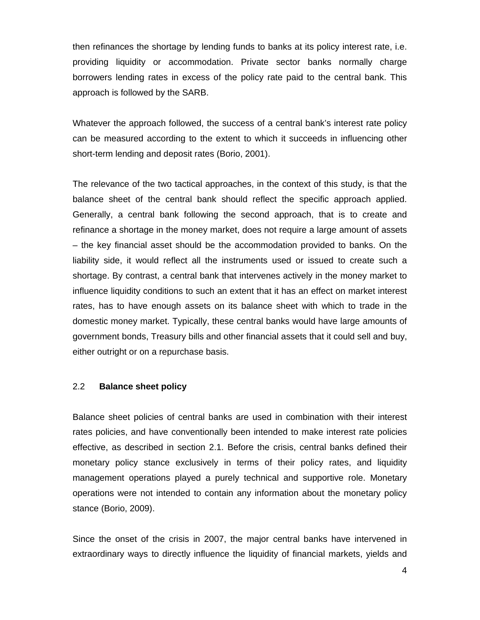then refinances the shortage by lending funds to banks at its policy interest rate, i.e. providing liquidity or accommodation. Private sector banks normally charge borrowers lending rates in excess of the policy rate paid to the central bank. This approach is followed by the SARB.

Whatever the approach followed, the success of a central bank's interest rate policy can be measured according to the extent to which it succeeds in influencing other short-term lending and deposit rates (Borio, 2001).

The relevance of the two tactical approaches, in the context of this study, is that the balance sheet of the central bank should reflect the specific approach applied. Generally, a central bank following the second approach, that is to create and refinance a shortage in the money market, does not require a large amount of assets – the key financial asset should be the accommodation provided to banks. On the liability side, it would reflect all the instruments used or issued to create such a shortage. By contrast, a central bank that intervenes actively in the money market to influence liquidity conditions to such an extent that it has an effect on market interest rates, has to have enough assets on its balance sheet with which to trade in the domestic money market. Typically, these central banks would have large amounts of government bonds, Treasury bills and other financial assets that it could sell and buy, either outright or on a repurchase basis.

#### 2.2 **Balance sheet policy**

Balance sheet policies of central banks are used in combination with their interest rates policies, and have conventionally been intended to make interest rate policies effective, as described in section 2.1. Before the crisis, central banks defined their monetary policy stance exclusively in terms of their policy rates, and liquidity management operations played a purely technical and supportive role. Monetary operations were not intended to contain any information about the monetary policy stance (Borio, 2009).

Since the onset of the crisis in 2007, the major central banks have intervened in extraordinary ways to directly influence the liquidity of financial markets, yields and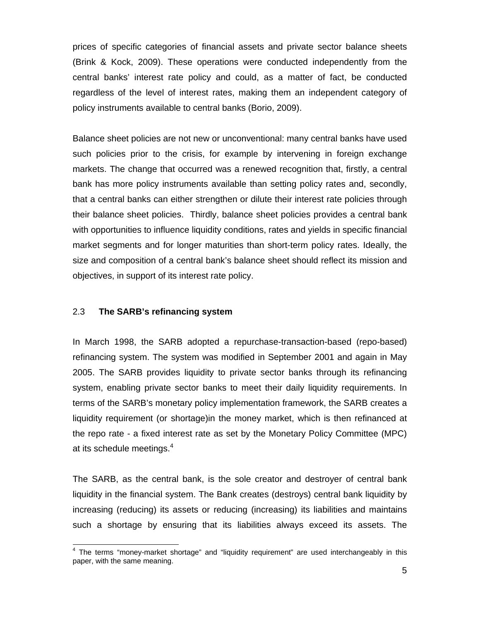prices of specific categories of financial assets and private sector balance sheets (Brink & Kock, 2009). These operations were conducted independently from the central banks' interest rate policy and could, as a matter of fact, be conducted regardless of the level of interest rates, making them an independent category of policy instruments available to central banks (Borio, 2009).

Balance sheet policies are not new or unconventional: many central banks have used such policies prior to the crisis, for example by intervening in foreign exchange markets. The change that occurred was a renewed recognition that, firstly, a central bank has more policy instruments available than setting policy rates and, secondly, that a central banks can either strengthen or dilute their interest rate policies through their balance sheet policies. Thirdly, balance sheet policies provides a central bank with opportunities to influence liquidity conditions, rates and yields in specific financial market segments and for longer maturities than short-term policy rates. Ideally, the size and composition of a central bank's balance sheet should reflect its mission and objectives, in support of its interest rate policy.

## 2.3 **The SARB's refinancing system**

 $\overline{a}$ 

In March 1998, the SARB adopted a repurchase-transaction-based (repo-based) refinancing system. The system was modified in September 2001 and again in May 2005. The SARB provides liquidity to private sector banks through its refinancing system, enabling private sector banks to meet their daily liquidity requirements. In terms of the SARB's monetary policy implementation framework, the SARB creates a liquidity requirement (or shortage)in the money market, which is then refinanced at the repo rate - a fixed interest rate as set by the Monetary Policy Committee (MPC) at its schedule meetings.<sup>4</sup>

The SARB, as the central bank, is the sole creator and destroyer of central bank liquidity in the financial system. The Bank creates (destroys) central bank liquidity by increasing (reducing) its assets or reducing (increasing) its liabilities and maintains such a shortage by ensuring that its liabilities always exceed its assets. The

<sup>&</sup>lt;sup>4</sup> The terms "money-market shortage" and "liquidity requirement" are used interchangeably in this paper, with the same meaning.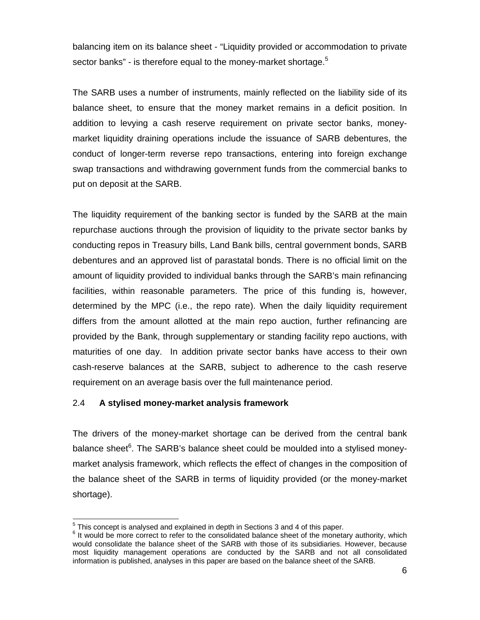balancing item on its balance sheet - "Liquidity provided or accommodation to private sector banks" - is therefore equal to the money-market shortage.<sup>5</sup>

The SARB uses a number of instruments, mainly reflected on the liability side of its balance sheet, to ensure that the money market remains in a deficit position. In addition to levying a cash reserve requirement on private sector banks, moneymarket liquidity draining operations include the issuance of SARB debentures, the conduct of longer-term reverse repo transactions, entering into foreign exchange swap transactions and withdrawing government funds from the commercial banks to put on deposit at the SARB.

The liquidity requirement of the banking sector is funded by the SARB at the main repurchase auctions through the provision of liquidity to the private sector banks by conducting repos in Treasury bills, Land Bank bills, central government bonds, SARB debentures and an approved list of parastatal bonds. There is no official limit on the amount of liquidity provided to individual banks through the SARB's main refinancing facilities, within reasonable parameters. The price of this funding is, however, determined by the MPC (i.e., the repo rate). When the daily liquidity requirement differs from the amount allotted at the main repo auction, further refinancing are provided by the Bank, through supplementary or standing facility repo auctions, with maturities of one day. In addition private sector banks have access to their own cash-reserve balances at the SARB, subject to adherence to the cash reserve requirement on an average basis over the full maintenance period.

## 2.4 **A stylised money-market analysis framework**

The drivers of the money-market shortage can be derived from the central bank balance sheet<sup>6</sup>. The SARB's balance sheet could be moulded into a stylised moneymarket analysis framework, which reflects the effect of changes in the composition of the balance sheet of the SARB in terms of liquidity provided (or the money-market shortage).

 5 This concept is analysed and explained in depth in Sections 3 and 4 of this paper.

 $6$  It would be more correct to refer to the consolidated balance sheet of the monetary authority, which would consolidate the balance sheet of the SARB with those of its subsidiaries. However, because most liquidity management operations are conducted by the SARB and not all consolidated information is published, analyses in this paper are based on the balance sheet of the SARB.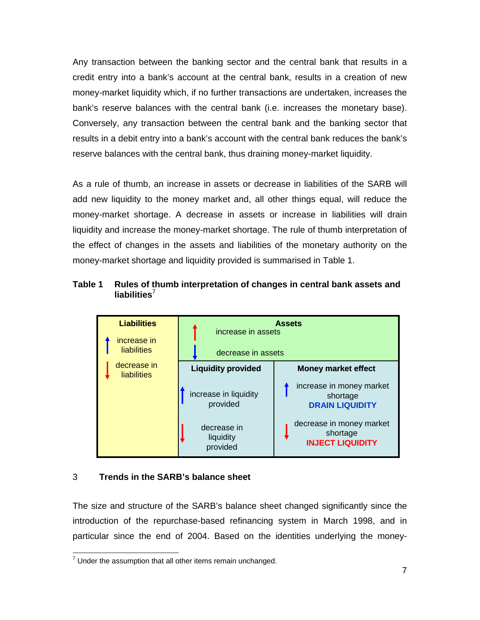Any transaction between the banking sector and the central bank that results in a credit entry into a bank's account at the central bank, results in a creation of new money-market liquidity which, if no further transactions are undertaken, increases the bank's reserve balances with the central bank (i.e. increases the monetary base). Conversely, any transaction between the central bank and the banking sector that results in a debit entry into a bank's account with the central bank reduces the bank's reserve balances with the central bank, thus draining money-market liquidity.

As a rule of thumb, an increase in assets or decrease in liabilities of the SARB will add new liquidity to the money market and, all other things equal, will reduce the money-market shortage. A decrease in assets or increase in liabilities will drain liquidity and increase the money-market shortage. The rule of thumb interpretation of the effect of changes in the assets and liabilities of the monetary authority on the money-market shortage and liquidity provided is summarised in Table 1.





## 3 **Trends in the SARB's balance sheet**

The size and structure of the SARB's balance sheet changed significantly since the introduction of the repurchase-based refinancing system in March 1998, and in particular since the end of 2004. Based on the identities underlying the money-

**TED 19 TED 10 TED 100 TED 100**<br>That it is assumption that all other items remain unchanged.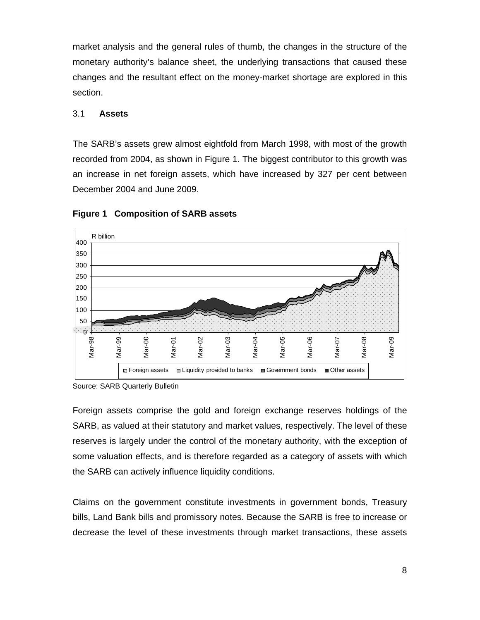market analysis and the general rules of thumb, the changes in the structure of the monetary authority's balance sheet, the underlying transactions that caused these changes and the resultant effect on the money-market shortage are explored in this section.

## 3.1 **Assets**

The SARB's assets grew almost eightfold from March 1998, with most of the growth recorded from 2004, as shown in Figure 1. The biggest contributor to this growth was an increase in net foreign assets, which have increased by 327 per cent between December 2004 and June 2009.



## **Figure 1 Composition of SARB assets**

Source: SARB Quarterly Bulletin

Foreign assets comprise the gold and foreign exchange reserves holdings of the SARB, as valued at their statutory and market values, respectively. The level of these reserves is largely under the control of the monetary authority, with the exception of some valuation effects, and is therefore regarded as a category of assets with which the SARB can actively influence liquidity conditions.

Claims on the government constitute investments in government bonds, Treasury bills, Land Bank bills and promissory notes. Because the SARB is free to increase or decrease the level of these investments through market transactions, these assets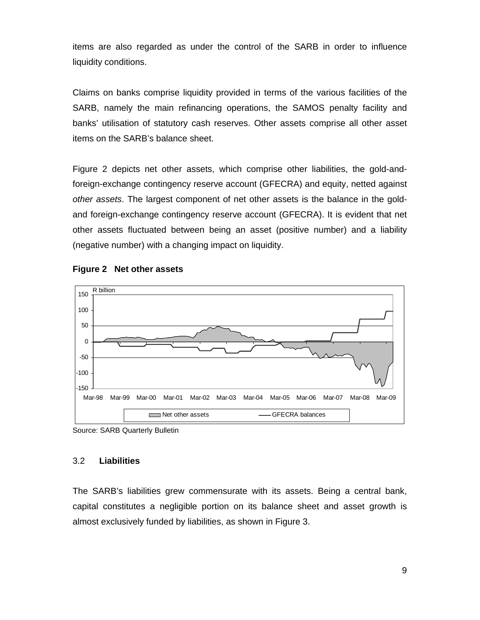items are also regarded as under the control of the SARB in order to influence liquidity conditions.

Claims on banks comprise liquidity provided in terms of the various facilities of the SARB, namely the main refinancing operations, the SAMOS penalty facility and banks' utilisation of statutory cash reserves. Other assets comprise all other asset items on the SARB's balance sheet.

Figure 2 depicts net other assets, which comprise other liabilities, the gold-andforeign-exchange contingency reserve account (GFECRA) and equity, netted against *other assets*. The largest component of net other assets is the balance in the goldand foreign-exchange contingency reserve account (GFECRA). It is evident that net other assets fluctuated between being an asset (positive number) and a liability (negative number) with a changing impact on liquidity.



## **Figure 2 Net other assets**

## 3.2 **Liabilities**

The SARB's liabilities grew commensurate with its assets. Being a central bank, capital constitutes a negligible portion on its balance sheet and asset growth is almost exclusively funded by liabilities, as shown in Figure 3.

Source: SARB Quarterly Bulletin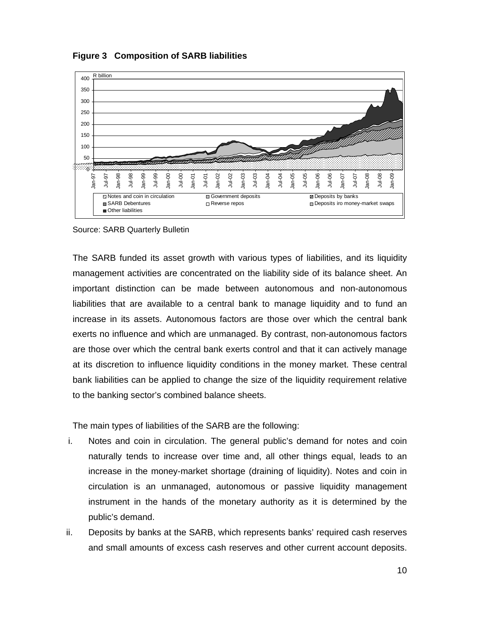

**Figure 3 Composition of SARB liabilities** 

Source: SARB Quarterly Bulletin

The SARB funded its asset growth with various types of liabilities, and its liquidity management activities are concentrated on the liability side of its balance sheet. An important distinction can be made between autonomous and non-autonomous liabilities that are available to a central bank to manage liquidity and to fund an increase in its assets. Autonomous factors are those over which the central bank exerts no influence and which are unmanaged. By contrast, non-autonomous factors are those over which the central bank exerts control and that it can actively manage at its discretion to influence liquidity conditions in the money market. These central bank liabilities can be applied to change the size of the liquidity requirement relative to the banking sector's combined balance sheets.

The main types of liabilities of the SARB are the following:

- i. Notes and coin in circulation. The general public's demand for notes and coin naturally tends to increase over time and, all other things equal, leads to an increase in the money-market shortage (draining of liquidity). Notes and coin in circulation is an unmanaged, autonomous or passive liquidity management instrument in the hands of the monetary authority as it is determined by the public's demand.
- ii. Deposits by banks at the SARB, which represents banks' required cash reserves and small amounts of excess cash reserves and other current account deposits.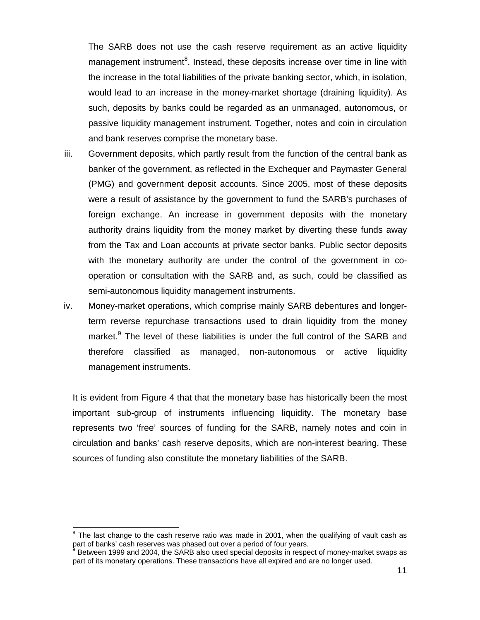The SARB does not use the cash reserve requirement as an active liquidity management instrument<sup>8</sup>. Instead, these deposits increase over time in line with the increase in the total liabilities of the private banking sector, which, in isolation, would lead to an increase in the money-market shortage (draining liquidity). As such, deposits by banks could be regarded as an unmanaged, autonomous, or passive liquidity management instrument. Together, notes and coin in circulation and bank reserves comprise the monetary base.

- iii. Government deposits, which partly result from the function of the central bank as banker of the government, as reflected in the Exchequer and Paymaster General (PMG) and government deposit accounts. Since 2005, most of these deposits were a result of assistance by the government to fund the SARB's purchases of foreign exchange. An increase in government deposits with the monetary authority drains liquidity from the money market by diverting these funds away from the Tax and Loan accounts at private sector banks. Public sector deposits with the monetary authority are under the control of the government in cooperation or consultation with the SARB and, as such, could be classified as semi-autonomous liquidity management instruments.
- iv. Money-market operations, which comprise mainly SARB debentures and longerterm reverse repurchase transactions used to drain liquidity from the money market.<sup>9</sup> The level of these liabilities is under the full control of the SARB and therefore classified as managed, non-autonomous or active liquidity management instruments.

It is evident from Figure 4 that that the monetary base has historically been the most important sub-group of instruments influencing liquidity. The monetary base represents two 'free' sources of funding for the SARB, namely notes and coin in circulation and banks' cash reserve deposits, which are non-interest bearing. These sources of funding also constitute the monetary liabilities of the SARB.

l

 $8$  The last change to the cash reserve ratio was made in 2001, when the qualifying of vault cash as part of banks' cash reserves was phased out over a period of four years.

<sup>9</sup>  Between 1999 and 2004, the SARB also used special deposits in respect of money-market swaps as part of its monetary operations. These transactions have all expired and are no longer used.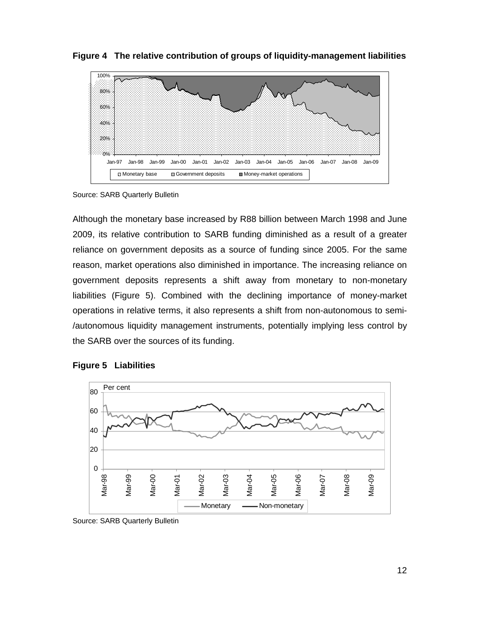**Figure 4 The relative contribution of groups of liquidity-management liabilities** 



Source: SARB Quarterly Bulletin

Although the monetary base increased by R88 billion between March 1998 and June 2009, its relative contribution to SARB funding diminished as a result of a greater reliance on government deposits as a source of funding since 2005. For the same reason, market operations also diminished in importance. The increasing reliance on government deposits represents a shift away from monetary to non-monetary liabilities (Figure 5). Combined with the declining importance of money-market operations in relative terms, it also represents a shift from non-autonomous to semi- /autonomous liquidity management instruments, potentially implying less control by the SARB over the sources of its funding.





Source: SARB Quarterly Bulletin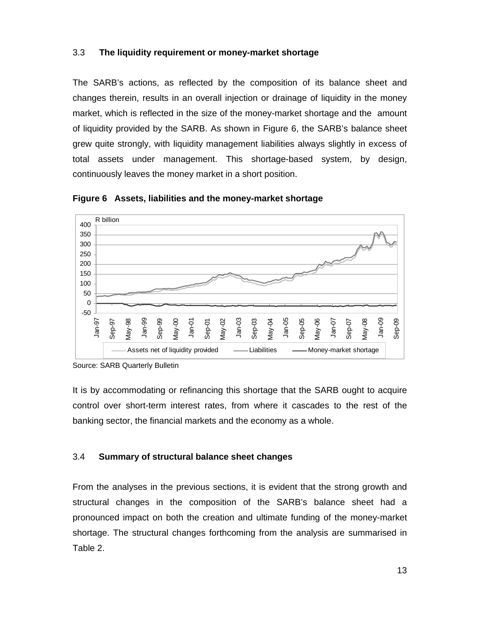## 3.3 **The liquidity requirement or money-market shortage**

The SARB's actions, as reflected by the composition of its balance sheet and changes therein, results in an overall injection or drainage of liquidity in the money market, which is reflected in the size of the money-market shortage and the amount of liquidity provided by the SARB. As shown in Figure 6, the SARB's balance sheet grew quite strongly, with liquidity management liabilities always slightly in excess of total assets under management. This shortage-based system, by design, continuously leaves the money market in a short position.



**Figure 6 Assets, liabilities and the money-market shortage** 

Source: SARB Quarterly Bulletin

It is by accommodating or refinancing this shortage that the SARB ought to acquire control over short-term interest rates, from where it cascades to the rest of the banking sector, the financial markets and the economy as a whole.

## 3.4 **Summary of structural balance sheet changes**

From the analyses in the previous sections, it is evident that the strong growth and structural changes in the composition of the SARB's balance sheet had a pronounced impact on both the creation and ultimate funding of the money-market shortage. The structural changes forthcoming from the analysis are summarised in Table 2.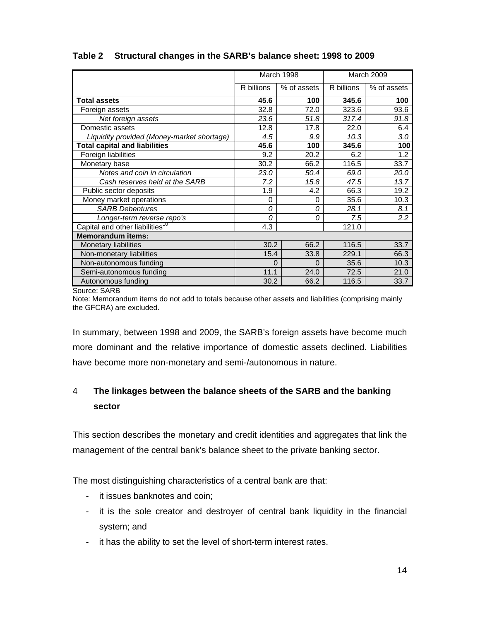|                                             |            | March 1998  |            | March 2009  |
|---------------------------------------------|------------|-------------|------------|-------------|
|                                             | R billions | % of assets | R billions | % of assets |
| <b>Total assets</b>                         | 45.6       | 100         | 345.6      | 100         |
| Foreign assets                              | 32.8       | 72.0        | 323.6      | 93.6        |
| Net foreign assets                          | 23.6       | 51.8        | 317.4      | 91.8        |
| Domestic assets                             | 12.8       | 17.8        | 22.0       | 6.4         |
| Liquidity provided (Money-market shortage)  | 4.5        | 9.9         | 10.3       | 3.0         |
| <b>Total capital and liabilities</b>        | 45.6       | 100         | 345.6      | 100         |
| Foreign liabilities                         | 9.2        | 20.2        | 6.2        | 1.2         |
| Monetary base                               | 30.2       | 66.2        | 116.5      | 33.7        |
| Notes and coin in circulation               | 23.0       | 50.4        | 69.0       | 20.0        |
| Cash reserves held at the SARB              | 7.2        | 15.8        | 47.5       | 13.7        |
| Public sector deposits                      | 1.9        | 4.2         | 66.3       | 19.2        |
| Money market operations                     | 0          | 0           | 35.6       | 10.3        |
| <b>SARB Debentures</b>                      | 0          | 0           | 28.1       | 8.1         |
| Longer-term reverse repo's                  | 0          | 0           | 7.5        | 2.2         |
| Capital and other liabilities <sup>10</sup> | 4.3        |             | 121.0      |             |
| <b>Memorandum items:</b>                    |            |             |            |             |
| <b>Monetary liabilities</b>                 | 30.2       | 66.2        | 116.5      | 33.7        |
| Non-monetary liabilities                    | 15.4       | 33.8        | 229.1      | 66.3        |
| Non-autonomous funding                      | 0          | $\Omega$    | 35.6       | 10.3        |
| Semi-autonomous funding                     | 11.1       | 24.0        | 72.5       | 21.0        |
| Autonomous funding                          | 30.2       | 66.2        | 116.5      | 33.7        |

## **Table 2 Structural changes in the SARB's balance sheet: 1998 to 2009**

Source: SARB

Note: Memorandum items do not add to totals because other assets and liabilities (comprising mainly the GFCRA) are excluded.

In summary, between 1998 and 2009, the SARB's foreign assets have become much more dominant and the relative importance of domestic assets declined. Liabilities have become more non-monetary and semi-/autonomous in nature.

## 4 **The linkages between the balance sheets of the SARB and the banking sector**

This section describes the monetary and credit identities and aggregates that link the management of the central bank's balance sheet to the private banking sector.

The most distinguishing characteristics of a central bank are that:

- it issues banknotes and coin;
- it is the sole creator and destroyer of central bank liquidity in the financial system; and
- it has the ability to set the level of short-term interest rates.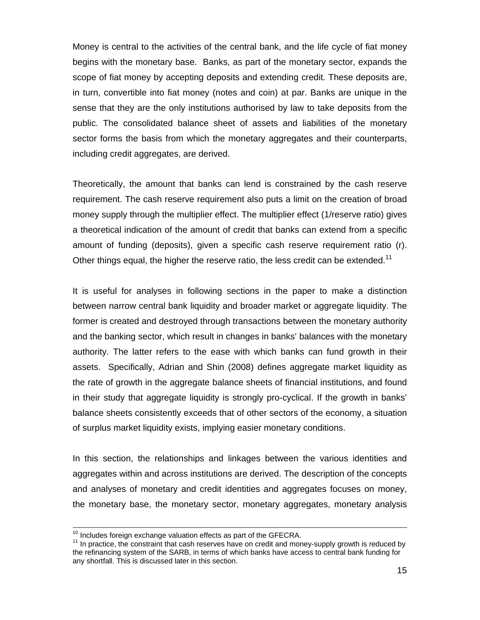Money is central to the activities of the central bank, and the life cycle of fiat money begins with the monetary base. Banks, as part of the monetary sector, expands the scope of fiat money by accepting deposits and extending credit. These deposits are, in turn, convertible into fiat money (notes and coin) at par. Banks are unique in the sense that they are the only institutions authorised by law to take deposits from the public. The consolidated balance sheet of assets and liabilities of the monetary sector forms the basis from which the monetary aggregates and their counterparts, including credit aggregates, are derived.

Theoretically, the amount that banks can lend is constrained by the cash reserve requirement. The cash reserve requirement also puts a limit on the creation of broad money supply through the multiplier effect. The multiplier effect (1/reserve ratio) gives a theoretical indication of the amount of credit that banks can extend from a specific amount of funding (deposits), given a specific cash reserve requirement ratio (r). Other things equal, the higher the reserve ratio, the less credit can be extended.<sup>11</sup>

It is useful for analyses in following sections in the paper to make a distinction between narrow central bank liquidity and broader market or aggregate liquidity. The former is created and destroyed through transactions between the monetary authority and the banking sector, which result in changes in banks' balances with the monetary authority. The latter refers to the ease with which banks can fund growth in their assets. Specifically, Adrian and Shin (2008) defines aggregate market liquidity as the rate of growth in the aggregate balance sheets of financial institutions, and found in their study that aggregate liquidity is strongly pro-cyclical. If the growth in banks' balance sheets consistently exceeds that of other sectors of the economy, a situation of surplus market liquidity exists, implying easier monetary conditions.

In this section, the relationships and linkages between the various identities and aggregates within and across institutions are derived. The description of the concepts and analyses of monetary and credit identities and aggregates focuses on money, the monetary base, the monetary sector, monetary aggregates, monetary analysis

 $10$  Includes foreign exchange valuation effects as part of the GFECRA.<br> $11$  In practice, the constraint that cash reserves have on credit and money-supply growth is reduced by the refinancing system of the SARB, in terms of which banks have access to central bank funding for any shortfall. This is discussed later in this section.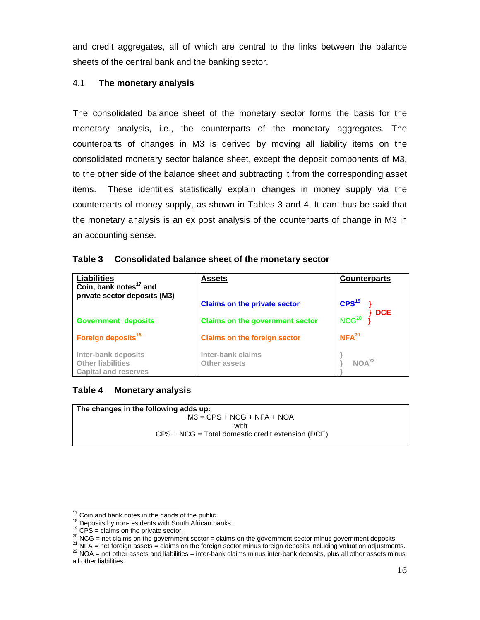and credit aggregates, all of which are central to the links between the balance sheets of the central bank and the banking sector.

## 4.1 **The monetary analysis**

The consolidated balance sheet of the monetary sector forms the basis for the monetary analysis, i.e., the counterparts of the monetary aggregates. The counterparts of changes in M3 is derived by moving all liability items on the consolidated monetary sector balance sheet, except the deposit components of M3, to the other side of the balance sheet and subtracting it from the corresponding asset items. These identities statistically explain changes in money supply via the counterparts of money supply, as shown in Tables 3 and 4. It can thus be said that the monetary analysis is an ex post analysis of the counterparts of change in M3 in an accounting sense.

| Table 3 Consolidated balance sheet of the monetary sector |  |
|-----------------------------------------------------------|--|
|                                                           |  |

| <b>Liabilities</b><br>Coin, bank notes <sup>17</sup> and                       | <b>Assets</b>                          | <b>Counterparts</b>      |
|--------------------------------------------------------------------------------|----------------------------------------|--------------------------|
| private sector deposits (M3)                                                   | <b>Claims on the private sector</b>    | CPS <sup>19</sup>        |
| <b>Government deposits</b>                                                     | <b>Claims on the government sector</b> | DCE<br>NCG <sup>20</sup> |
| Foreign deposits <sup>18</sup>                                                 | <b>Claims on the foreign sector</b>    | NFA <sup>21</sup>        |
| Inter-bank deposits<br><b>Other liabilities</b><br><b>Capital and reserves</b> | Inter-bank claims<br>Other assets      | NOA <sup>22</sup>        |

## **Table 4 Monetary analysis**

| The changes in the following adds up:               |  |
|-----------------------------------------------------|--|
| $M3 = CPS + NCG + NFA + NOA$                        |  |
| with                                                |  |
| $CPS + NCG = Total domestic credit extension (DCE)$ |  |

<sup>&</sup>lt;sup>17</sup> Coin and bank notes in the hands of the public.

<sup>&</sup>lt;sup>18</sup> Deposits by non-residents with South African banks.<br><sup>19</sup> CPS = claims on the private sector.<br><sup>20</sup> NCG = net claims on the government sector = claims on the government sector minus government deposits.<br><sup>21</sup> NFA = net

all other liabilities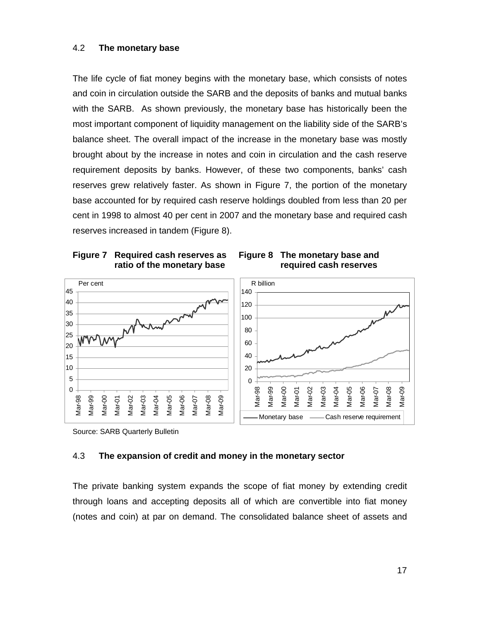### 4.2 **The monetary base**

The life cycle of fiat money begins with the monetary base, which consists of notes and coin in circulation outside the SARB and the deposits of banks and mutual banks with the SARB. As shown previously, the monetary base has historically been the most important component of liquidity management on the liability side of the SARB's balance sheet. The overall impact of the increase in the monetary base was mostly brought about by the increase in notes and coin in circulation and the cash reserve requirement deposits by banks. However, of these two components, banks' cash reserves grew relatively faster. As shown in Figure 7, the portion of the monetary base accounted for by required cash reserve holdings doubled from less than 20 per cent in 1998 to almost 40 per cent in 2007 and the monetary base and required cash reserves increased in tandem (Figure 8).







Source: SARB Quarterly Bulletin

#### 4.3 **The expansion of credit and money in the monetary sector**

The private banking system expands the scope of fiat money by extending credit through loans and accepting deposits all of which are convertible into fiat money (notes and coin) at par on demand. The consolidated balance sheet of assets and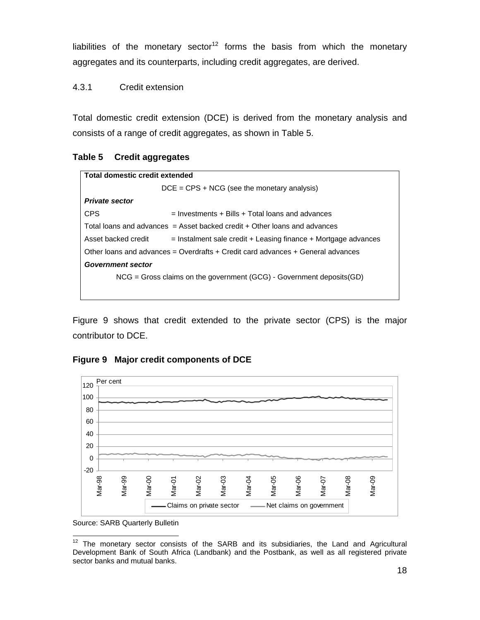liabilities of the monetary sector<sup>12</sup> forms the basis from which the monetary aggregates and its counterparts, including credit aggregates, are derived.

4.3.1 Credit extension

Total domestic credit extension (DCE) is derived from the monetary analysis and consists of a range of credit aggregates, as shown in Table 5.

## **Table 5 Credit aggregates**

| Total domestic credit extended |                                                                                 |  |  |
|--------------------------------|---------------------------------------------------------------------------------|--|--|
|                                | $DCE = CPS + NCG$ (see the monetary analysis)                                   |  |  |
| <b>Private sector</b>          |                                                                                 |  |  |
| <b>CPS</b>                     | $=$ Investments + Bills + Total loans and advances                              |  |  |
|                                | Total loans and advances = Asset backed credit + Other loans and advances       |  |  |
| Asset backed credit            | $=$ Instalment sale credit + Leasing finance + Mortgage advances                |  |  |
|                                | Other loans and advances = Overdrafts + Credit card advances + General advances |  |  |
| <b>Government sector</b>       |                                                                                 |  |  |
|                                | $NCG = Gross$ claims on the government (GCG) - Government deposits (GD)         |  |  |
|                                |                                                                                 |  |  |

Figure 9 shows that credit extended to the private sector (CPS) is the major contributor to DCE.

## **Figure 9 Major credit components of DCE**



Source: SARB Quarterly Bulletin

 $\overline{a}$  $12$  The monetary sector consists of the SARB and its subsidiaries, the Land and Agricultural Development Bank of South Africa (Landbank) and the Postbank, as well as all registered private sector banks and mutual banks.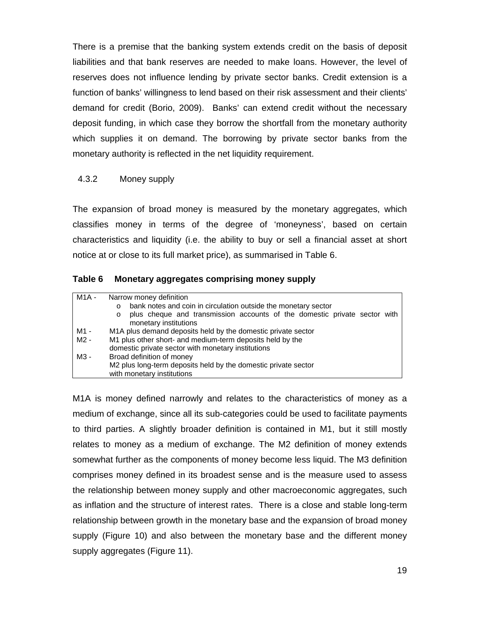There is a premise that the banking system extends credit on the basis of deposit liabilities and that bank reserves are needed to make loans. However, the level of reserves does not influence lending by private sector banks. Credit extension is a function of banks' willingness to lend based on their risk assessment and their clients' demand for credit (Borio, 2009). Banks' can extend credit without the necessary deposit funding, in which case they borrow the shortfall from the monetary authority which supplies it on demand. The borrowing by private sector banks from the monetary authority is reflected in the net liquidity requirement.

### 4.3.2 Money supply

The expansion of broad money is measured by the monetary aggregates, which classifies money in terms of the degree of 'moneyness', based on certain characteristics and liquidity (i.e. the ability to buy or sell a financial asset at short notice at or close to its full market price), as summarised in Table 6.

| Table 6<br><b>Monetary aggregates comprising money supply</b> |  |
|---------------------------------------------------------------|--|
|---------------------------------------------------------------|--|

| M1A - | Narrow money definition<br>bank notes and coin in circulation outside the monetary sector<br>$\circ$<br>plus cheque and transmission accounts of the domestic private sector with<br>$\circ$<br>monetary institutions |  |
|-------|-----------------------------------------------------------------------------------------------------------------------------------------------------------------------------------------------------------------------|--|
| M1 -  | M1A plus demand deposits held by the domestic private sector                                                                                                                                                          |  |
| M2 -  | M1 plus other short- and medium-term deposits held by the<br>domestic private sector with monetary institutions                                                                                                       |  |
| M3 -  | Broad definition of money                                                                                                                                                                                             |  |
|       | M2 plus long-term deposits held by the domestic private sector<br>with monetary institutions                                                                                                                          |  |

M1A is money defined narrowly and relates to the characteristics of money as a medium of exchange, since all its sub-categories could be used to facilitate payments to third parties. A slightly broader definition is contained in M1, but it still mostly relates to money as a medium of exchange. The M2 definition of money extends somewhat further as the components of money become less liquid. The M3 definition comprises money defined in its broadest sense and is the measure used to assess the relationship between money supply and other macroeconomic aggregates, such as inflation and the structure of interest rates. There is a close and stable long-term relationship between growth in the monetary base and the expansion of broad money supply (Figure 10) and also between the monetary base and the different money supply aggregates (Figure 11).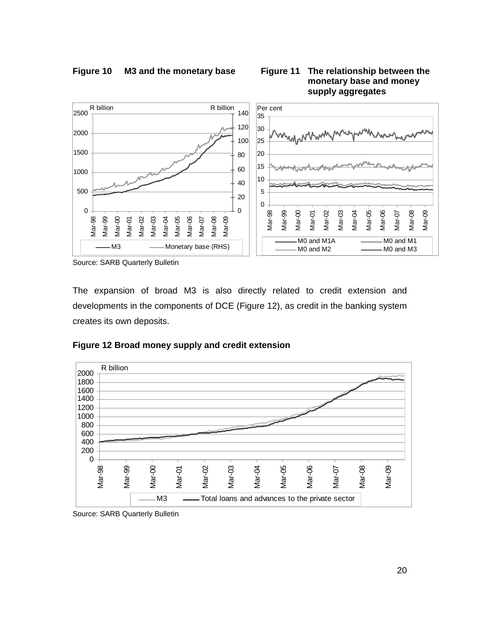

Source: SARB Quarterly Bulletin

The expansion of broad M3 is also directly related to credit extension and developments in the components of DCE (Figure 12), as credit in the banking system creates its own deposits.





Source: SARB Quarterly Bulletin

**Figure 10 M3 and the monetary base Figure 11 The relationship between the monetary base and money supply aggregates**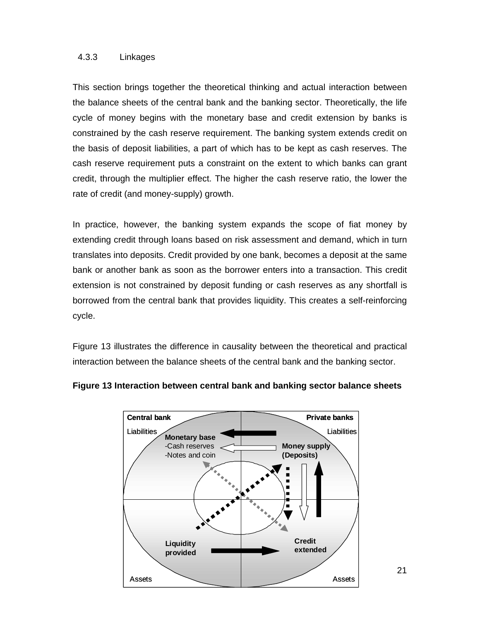#### 4.3.3 Linkages

This section brings together the theoretical thinking and actual interaction between the balance sheets of the central bank and the banking sector. Theoretically, the life cycle of money begins with the monetary base and credit extension by banks is constrained by the cash reserve requirement. The banking system extends credit on the basis of deposit liabilities, a part of which has to be kept as cash reserves. The cash reserve requirement puts a constraint on the extent to which banks can grant credit, through the multiplier effect. The higher the cash reserve ratio, the lower the rate of credit (and money-supply) growth.

In practice, however, the banking system expands the scope of fiat money by extending credit through loans based on risk assessment and demand, which in turn translates into deposits. Credit provided by one bank, becomes a deposit at the same bank or another bank as soon as the borrower enters into a transaction. This credit extension is not constrained by deposit funding or cash reserves as any shortfall is borrowed from the central bank that provides liquidity. This creates a self-reinforcing cycle.

Figure 13 illustrates the difference in causality between the theoretical and practical interaction between the balance sheets of the central bank and the banking sector.



### **Figure 13 Interaction between central bank and banking sector balance sheets**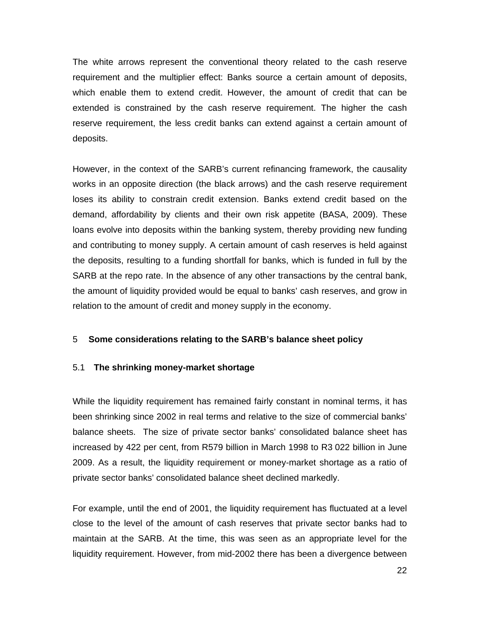The white arrows represent the conventional theory related to the cash reserve requirement and the multiplier effect: Banks source a certain amount of deposits, which enable them to extend credit. However, the amount of credit that can be extended is constrained by the cash reserve requirement. The higher the cash reserve requirement, the less credit banks can extend against a certain amount of deposits.

However, in the context of the SARB's current refinancing framework, the causality works in an opposite direction (the black arrows) and the cash reserve requirement loses its ability to constrain credit extension. Banks extend credit based on the demand, affordability by clients and their own risk appetite (BASA, 2009). These loans evolve into deposits within the banking system, thereby providing new funding and contributing to money supply. A certain amount of cash reserves is held against the deposits, resulting to a funding shortfall for banks, which is funded in full by the SARB at the repo rate. In the absence of any other transactions by the central bank, the amount of liquidity provided would be equal to banks' cash reserves, and grow in relation to the amount of credit and money supply in the economy.

#### 5 **Some considerations relating to the SARB's balance sheet policy**

#### 5.1 **The shrinking money-market shortage**

While the liquidity requirement has remained fairly constant in nominal terms, it has been shrinking since 2002 in real terms and relative to the size of commercial banks' balance sheets. The size of private sector banks' consolidated balance sheet has increased by 422 per cent, from R579 billion in March 1998 to R3 022 billion in June 2009. As a result, the liquidity requirement or money-market shortage as a ratio of private sector banks' consolidated balance sheet declined markedly.

For example, until the end of 2001, the liquidity requirement has fluctuated at a level close to the level of the amount of cash reserves that private sector banks had to maintain at the SARB. At the time, this was seen as an appropriate level for the liquidity requirement. However, from mid-2002 there has been a divergence between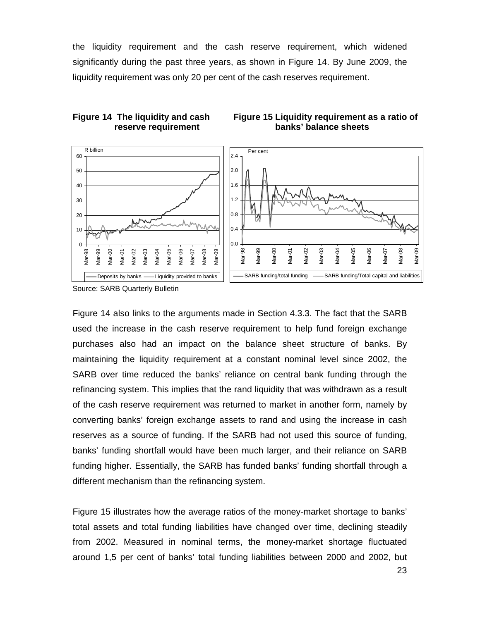the liquidity requirement and the cash reserve requirement, which widened significantly during the past three years, as shown in Figure 14. By June 2009, the liquidity requirement was only 20 per cent of the cash reserves requirement.







Figure 14 also links to the arguments made in Section 4.3.3. The fact that the SARB used the increase in the cash reserve requirement to help fund foreign exchange purchases also had an impact on the balance sheet structure of banks. By maintaining the liquidity requirement at a constant nominal level since 2002, the SARB over time reduced the banks' reliance on central bank funding through the refinancing system. This implies that the rand liquidity that was withdrawn as a result of the cash reserve requirement was returned to market in another form, namely by converting banks' foreign exchange assets to rand and using the increase in cash reserves as a source of funding. If the SARB had not used this source of funding, banks' funding shortfall would have been much larger, and their reliance on SARB funding higher. Essentially, the SARB has funded banks' funding shortfall through a different mechanism than the refinancing system.

Figure 15 illustrates how the average ratios of the money-market shortage to banks' total assets and total funding liabilities have changed over time, declining steadily from 2002. Measured in nominal terms, the money-market shortage fluctuated around 1,5 per cent of banks' total funding liabilities between 2000 and 2002, but

Source: SARB Quarterly Bulletin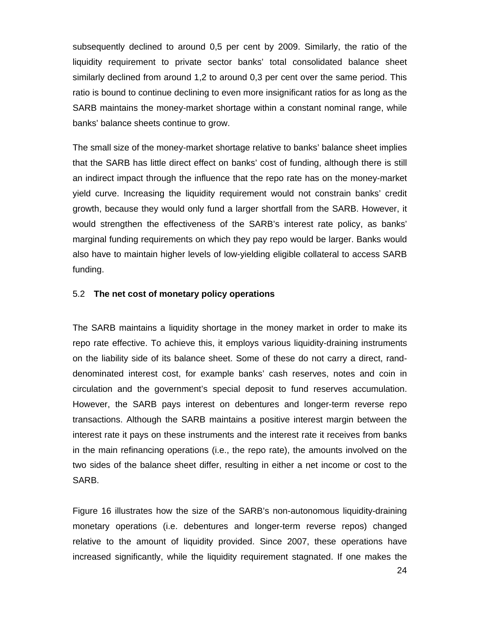subsequently declined to around 0,5 per cent by 2009. Similarly, the ratio of the liquidity requirement to private sector banks' total consolidated balance sheet similarly declined from around 1,2 to around 0,3 per cent over the same period. This ratio is bound to continue declining to even more insignificant ratios for as long as the SARB maintains the money-market shortage within a constant nominal range, while banks' balance sheets continue to grow.

The small size of the money-market shortage relative to banks' balance sheet implies that the SARB has little direct effect on banks' cost of funding, although there is still an indirect impact through the influence that the repo rate has on the money-market yield curve. Increasing the liquidity requirement would not constrain banks' credit growth, because they would only fund a larger shortfall from the SARB. However, it would strengthen the effectiveness of the SARB's interest rate policy, as banks' marginal funding requirements on which they pay repo would be larger. Banks would also have to maintain higher levels of low-yielding eligible collateral to access SARB funding.

#### 5.2 **The net cost of monetary policy operations**

The SARB maintains a liquidity shortage in the money market in order to make its repo rate effective. To achieve this, it employs various liquidity-draining instruments on the liability side of its balance sheet. Some of these do not carry a direct, randdenominated interest cost, for example banks' cash reserves, notes and coin in circulation and the government's special deposit to fund reserves accumulation. However, the SARB pays interest on debentures and longer-term reverse repo transactions. Although the SARB maintains a positive interest margin between the interest rate it pays on these instruments and the interest rate it receives from banks in the main refinancing operations (i.e., the repo rate), the amounts involved on the two sides of the balance sheet differ, resulting in either a net income or cost to the SARB.

Figure 16 illustrates how the size of the SARB's non-autonomous liquidity-draining monetary operations (i.e. debentures and longer-term reverse repos) changed relative to the amount of liquidity provided. Since 2007, these operations have increased significantly, while the liquidity requirement stagnated. If one makes the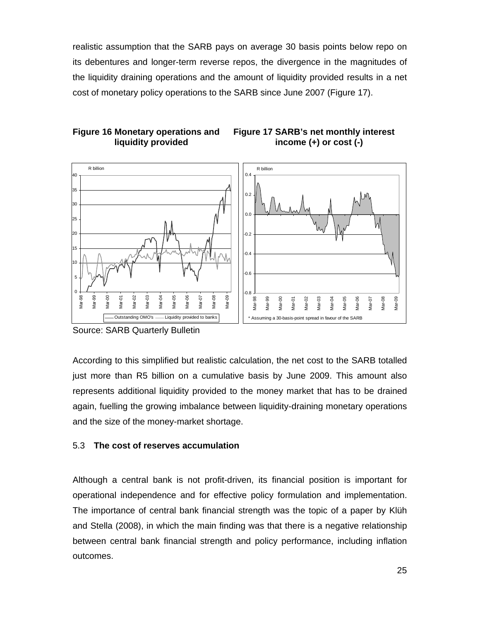realistic assumption that the SARB pays on average 30 basis points below repo on its debentures and longer-term reverse repos, the divergence in the magnitudes of the liquidity draining operations and the amount of liquidity provided results in a net cost of monetary policy operations to the SARB since June 2007 (Figure 17).

> **Figure 17 SARB's net monthly interest income (+) or cost (-)**



### **Figure 16 Monetary operations and liquidity provided**

Source: SARB Quarterly Bulletin

According to this simplified but realistic calculation, the net cost to the SARB totalled just more than R5 billion on a cumulative basis by June 2009. This amount also represents additional liquidity provided to the money market that has to be drained again, fuelling the growing imbalance between liquidity-draining monetary operations and the size of the money-market shortage.

## 5.3 **The cost of reserves accumulation**

Although a central bank is not profit-driven, its financial position is important for operational independence and for effective policy formulation and implementation. The importance of central bank financial strength was the topic of a paper by Klüh and Stella (2008), in which the main finding was that there is a negative relationship between central bank financial strength and policy performance, including inflation outcomes.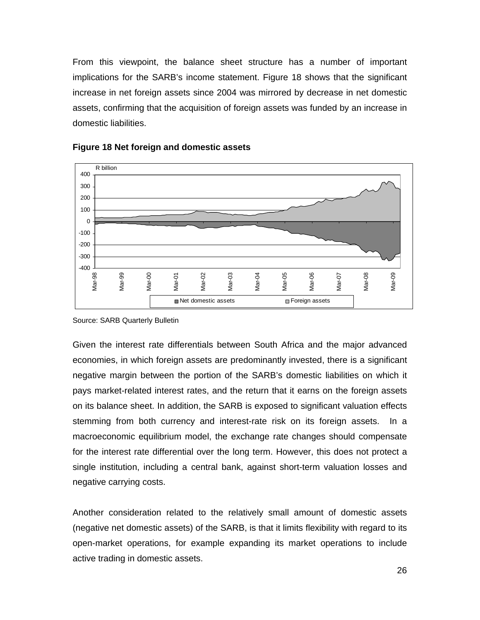From this viewpoint, the balance sheet structure has a number of important implications for the SARB's income statement. Figure 18 shows that the significant increase in net foreign assets since 2004 was mirrored by decrease in net domestic assets, confirming that the acquisition of foreign assets was funded by an increase in domestic liabilities.



#### **Figure 18 Net foreign and domestic assets**

Source: SARB Quarterly Bulletin

Given the interest rate differentials between South Africa and the major advanced economies, in which foreign assets are predominantly invested, there is a significant negative margin between the portion of the SARB's domestic liabilities on which it pays market-related interest rates, and the return that it earns on the foreign assets on its balance sheet. In addition, the SARB is exposed to significant valuation effects stemming from both currency and interest-rate risk on its foreign assets. In a macroeconomic equilibrium model, the exchange rate changes should compensate for the interest rate differential over the long term. However, this does not protect a single institution, including a central bank, against short-term valuation losses and negative carrying costs.

Another consideration related to the relatively small amount of domestic assets (negative net domestic assets) of the SARB, is that it limits flexibility with regard to its open-market operations, for example expanding its market operations to include active trading in domestic assets.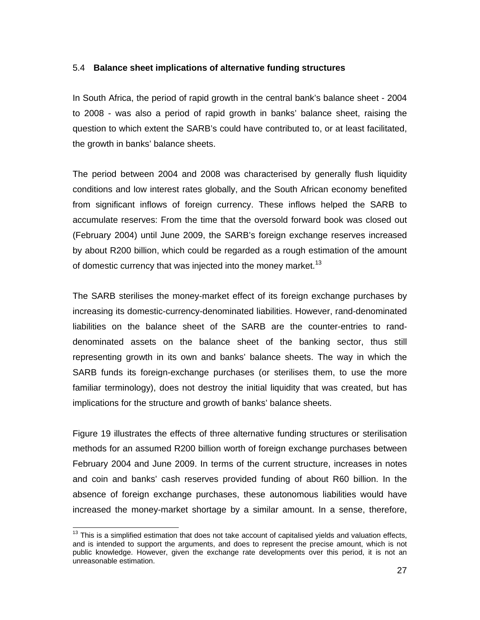#### 5.4 **Balance sheet implications of alternative funding structures**

In South Africa, the period of rapid growth in the central bank's balance sheet - 2004 to 2008 - was also a period of rapid growth in banks' balance sheet, raising the question to which extent the SARB's could have contributed to, or at least facilitated, the growth in banks' balance sheets.

The period between 2004 and 2008 was characterised by generally flush liquidity conditions and low interest rates globally, and the South African economy benefited from significant inflows of foreign currency. These inflows helped the SARB to accumulate reserves: From the time that the oversold forward book was closed out (February 2004) until June 2009, the SARB's foreign exchange reserves increased by about R200 billion, which could be regarded as a rough estimation of the amount of domestic currency that was injected into the money market.<sup>13</sup>

The SARB sterilises the money-market effect of its foreign exchange purchases by increasing its domestic-currency-denominated liabilities. However, rand-denominated liabilities on the balance sheet of the SARB are the counter-entries to randdenominated assets on the balance sheet of the banking sector, thus still representing growth in its own and banks' balance sheets. The way in which the SARB funds its foreign-exchange purchases (or sterilises them, to use the more familiar terminology), does not destroy the initial liquidity that was created, but has implications for the structure and growth of banks' balance sheets.

Figure 19 illustrates the effects of three alternative funding structures or sterilisation methods for an assumed R200 billion worth of foreign exchange purchases between February 2004 and June 2009. In terms of the current structure, increases in notes and coin and banks' cash reserves provided funding of about R60 billion. In the absence of foreign exchange purchases, these autonomous liabilities would have increased the money-market shortage by a similar amount. In a sense, therefore,

l

 $13$  This is a simplified estimation that does not take account of capitalised yields and valuation effects, and is intended to support the arguments, and does to represent the precise amount, which is not public knowledge. However, given the exchange rate developments over this period, it is not an unreasonable estimation.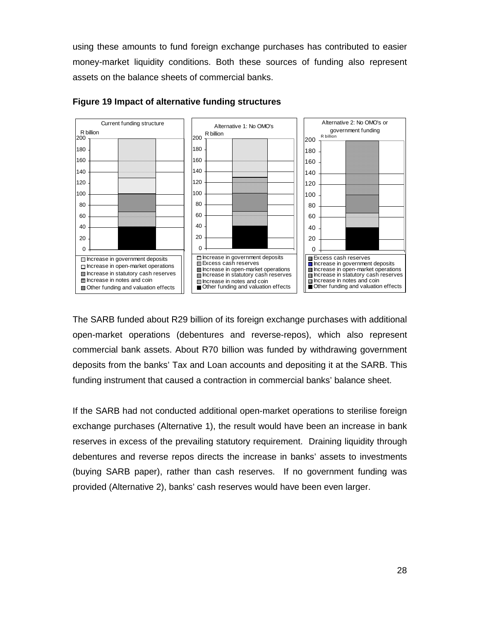using these amounts to fund foreign exchange purchases has contributed to easier money-market liquidity conditions. Both these sources of funding also represent assets on the balance sheets of commercial banks.



### **Figure 19 Impact of alternative funding structures**

The SARB funded about R29 billion of its foreign exchange purchases with additional open-market operations (debentures and reverse-repos), which also represent commercial bank assets. About R70 billion was funded by withdrawing government deposits from the banks' Tax and Loan accounts and depositing it at the SARB. This funding instrument that caused a contraction in commercial banks' balance sheet.

If the SARB had not conducted additional open-market operations to sterilise foreign exchange purchases (Alternative 1), the result would have been an increase in bank reserves in excess of the prevailing statutory requirement. Draining liquidity through debentures and reverse repos directs the increase in banks' assets to investments (buying SARB paper), rather than cash reserves. If no government funding was provided (Alternative 2), banks' cash reserves would have been even larger.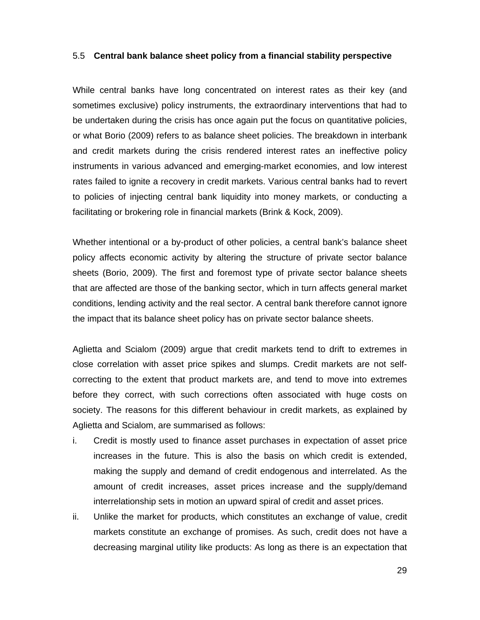#### 5.5 **Central bank balance sheet policy from a financial stability perspective**

While central banks have long concentrated on interest rates as their key (and sometimes exclusive) policy instruments, the extraordinary interventions that had to be undertaken during the crisis has once again put the focus on quantitative policies, or what Borio (2009) refers to as balance sheet policies. The breakdown in interbank and credit markets during the crisis rendered interest rates an ineffective policy instruments in various advanced and emerging-market economies, and low interest rates failed to ignite a recovery in credit markets. Various central banks had to revert to policies of injecting central bank liquidity into money markets, or conducting a facilitating or brokering role in financial markets (Brink & Kock, 2009).

Whether intentional or a by-product of other policies, a central bank's balance sheet policy affects economic activity by altering the structure of private sector balance sheets (Borio, 2009). The first and foremost type of private sector balance sheets that are affected are those of the banking sector, which in turn affects general market conditions, lending activity and the real sector. A central bank therefore cannot ignore the impact that its balance sheet policy has on private sector balance sheets.

Aglietta and Scialom (2009) argue that credit markets tend to drift to extremes in close correlation with asset price spikes and slumps. Credit markets are not selfcorrecting to the extent that product markets are, and tend to move into extremes before they correct, with such corrections often associated with huge costs on society. The reasons for this different behaviour in credit markets, as explained by Aglietta and Scialom, are summarised as follows:

- i. Credit is mostly used to finance asset purchases in expectation of asset price increases in the future. This is also the basis on which credit is extended, making the supply and demand of credit endogenous and interrelated. As the amount of credit increases, asset prices increase and the supply/demand interrelationship sets in motion an upward spiral of credit and asset prices.
- ii. Unlike the market for products, which constitutes an exchange of value, credit markets constitute an exchange of promises. As such, credit does not have a decreasing marginal utility like products: As long as there is an expectation that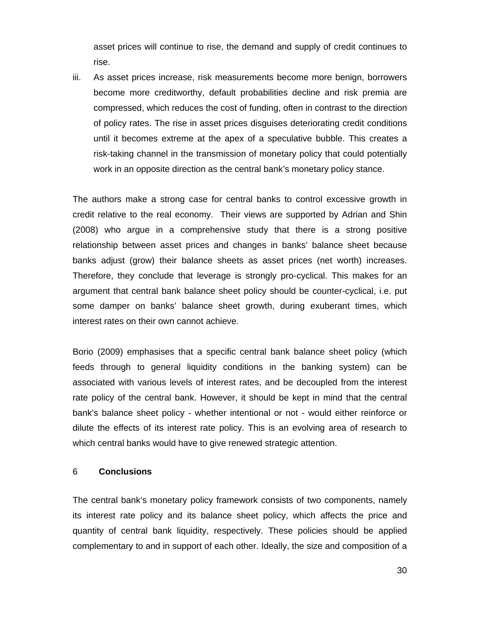asset prices will continue to rise, the demand and supply of credit continues to rise.

iii. As asset prices increase, risk measurements become more benign, borrowers become more creditworthy, default probabilities decline and risk premia are compressed, which reduces the cost of funding, often in contrast to the direction of policy rates. The rise in asset prices disguises deteriorating credit conditions until it becomes extreme at the apex of a speculative bubble. This creates a risk-taking channel in the transmission of monetary policy that could potentially work in an opposite direction as the central bank's monetary policy stance.

The authors make a strong case for central banks to control excessive growth in credit relative to the real economy. Their views are supported by Adrian and Shin (2008) who argue in a comprehensive study that there is a strong positive relationship between asset prices and changes in banks' balance sheet because banks adjust (grow) their balance sheets as asset prices (net worth) increases. Therefore, they conclude that leverage is strongly pro-cyclical. This makes for an argument that central bank balance sheet policy should be counter-cyclical, i.e. put some damper on banks' balance sheet growth, during exuberant times, which interest rates on their own cannot achieve.

Borio (2009) emphasises that a specific central bank balance sheet policy (which feeds through to general liquidity conditions in the banking system) can be associated with various levels of interest rates, and be decoupled from the interest rate policy of the central bank. However, it should be kept in mind that the central bank's balance sheet policy - whether intentional or not - would either reinforce or dilute the effects of its interest rate policy. This is an evolving area of research to which central banks would have to give renewed strategic attention.

#### 6 **Conclusions**

The central bank's monetary policy framework consists of two components, namely its interest rate policy and its balance sheet policy, which affects the price and quantity of central bank liquidity, respectively. These policies should be applied complementary to and in support of each other. Ideally, the size and composition of a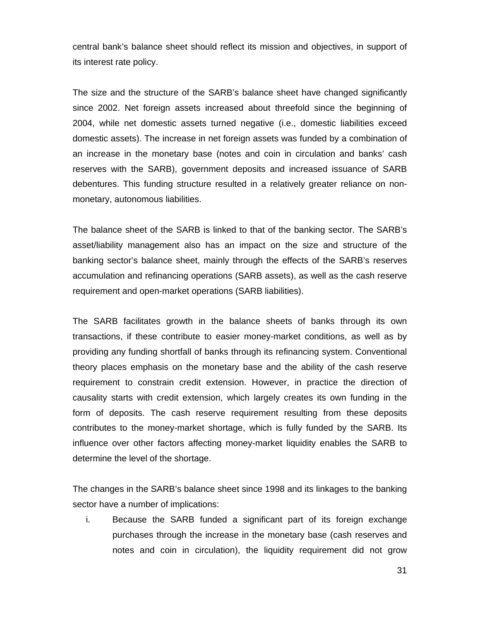central bank's balance sheet should reflect its mission and objectives, in support of its interest rate policy.

The size and the structure of the SARB's balance sheet have changed significantly since 2002. Net foreign assets increased about threefold since the beginning of 2004, while net domestic assets turned negative (i.e., domestic liabilities exceed domestic assets). The increase in net foreign assets was funded by a combination of an increase in the monetary base (notes and coin in circulation and banks' cash reserves with the SARB), government deposits and increased issuance of SARB debentures. This funding structure resulted in a relatively greater reliance on nonmonetary, autonomous liabilities.

The balance sheet of the SARB is linked to that of the banking sector. The SARB's asset/liability management also has an impact on the size and structure of the banking sector's balance sheet, mainly through the effects of the SARB's reserves accumulation and refinancing operations (SARB assets), as well as the cash reserve requirement and open-market operations (SARB liabilities).

The SARB facilitates growth in the balance sheets of banks through its own transactions, if these contribute to easier money-market conditions, as well as by providing any funding shortfall of banks through its refinancing system. Conventional theory places emphasis on the monetary base and the ability of the cash reserve requirement to constrain credit extension. However, in practice the direction of causality starts with credit extension, which largely creates its own funding in the form of deposits. The cash reserve requirement resulting from these deposits contributes to the money-market shortage, which is fully funded by the SARB. Its influence over other factors affecting money-market liquidity enables the SARB to determine the level of the shortage.

The changes in the SARB's balance sheet since 1998 and its linkages to the banking sector have a number of implications:

i. Because the SARB funded a significant part of its foreign exchange purchases through the increase in the monetary base (cash reserves and notes and coin in circulation), the liquidity requirement did not grow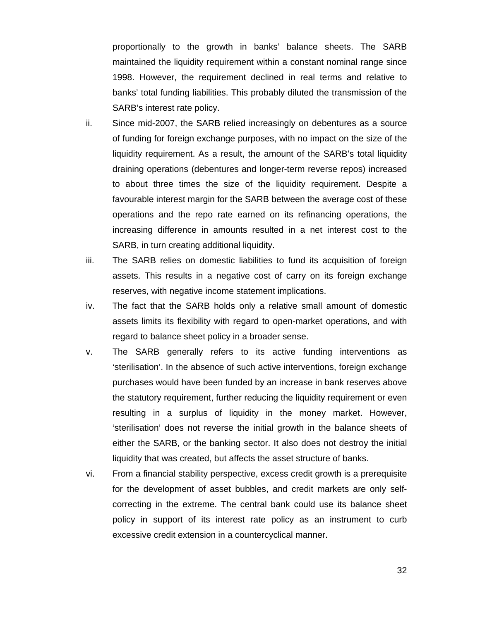proportionally to the growth in banks' balance sheets. The SARB maintained the liquidity requirement within a constant nominal range since 1998. However, the requirement declined in real terms and relative to banks' total funding liabilities. This probably diluted the transmission of the SARB's interest rate policy.

- ii. Since mid-2007, the SARB relied increasingly on debentures as a source of funding for foreign exchange purposes, with no impact on the size of the liquidity requirement. As a result, the amount of the SARB's total liquidity draining operations (debentures and longer-term reverse repos) increased to about three times the size of the liquidity requirement. Despite a favourable interest margin for the SARB between the average cost of these operations and the repo rate earned on its refinancing operations, the increasing difference in amounts resulted in a net interest cost to the SARB, in turn creating additional liquidity.
- iii. The SARB relies on domestic liabilities to fund its acquisition of foreign assets. This results in a negative cost of carry on its foreign exchange reserves, with negative income statement implications.
- iv. The fact that the SARB holds only a relative small amount of domestic assets limits its flexibility with regard to open-market operations, and with regard to balance sheet policy in a broader sense.
- v. The SARB generally refers to its active funding interventions as 'sterilisation'. In the absence of such active interventions, foreign exchange purchases would have been funded by an increase in bank reserves above the statutory requirement, further reducing the liquidity requirement or even resulting in a surplus of liquidity in the money market. However, 'sterilisation' does not reverse the initial growth in the balance sheets of either the SARB, or the banking sector. It also does not destroy the initial liquidity that was created, but affects the asset structure of banks.
- vi. From a financial stability perspective, excess credit growth is a prerequisite for the development of asset bubbles, and credit markets are only selfcorrecting in the extreme. The central bank could use its balance sheet policy in support of its interest rate policy as an instrument to curb excessive credit extension in a countercyclical manner.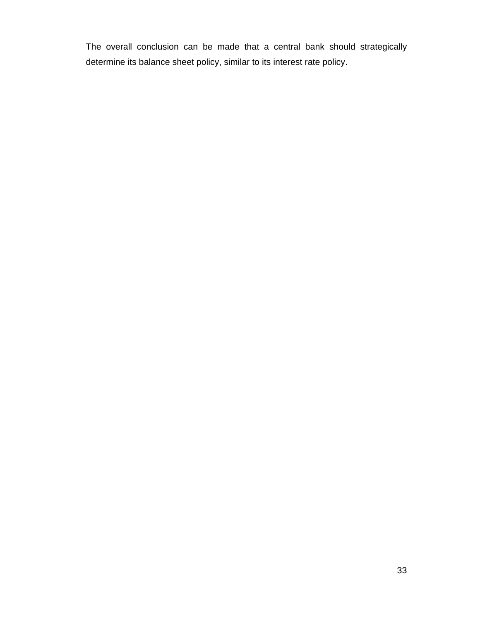The overall conclusion can be made that a central bank should strategically determine its balance sheet policy, similar to its interest rate policy.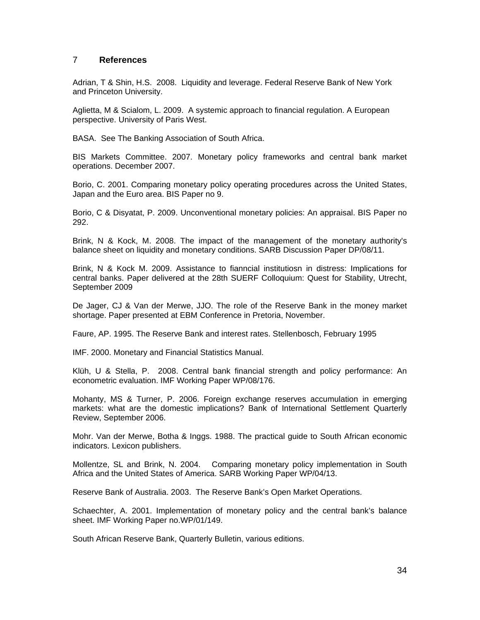#### 7 **References**

Adrian, T & Shin, H.S. 2008. Liquidity and leverage. Federal Reserve Bank of New York and Princeton University.

Aglietta, M & Scialom, L. 2009. A systemic approach to financial regulation. A European perspective. University of Paris West.

BASA. See The Banking Association of South Africa.

BIS Markets Committee. 2007. Monetary policy frameworks and central bank market operations. December 2007.

Borio, C. 2001. Comparing monetary policy operating procedures across the United States, Japan and the Euro area. BIS Paper no 9.

Borio, C & Disyatat, P. 2009. Unconventional monetary policies: An appraisal. BIS Paper no 292.

Brink, N & Kock, M. 2008. The impact of the management of the monetary authority's balance sheet on liquidity and monetary conditions. SARB Discussion Paper DP/08/11.

Brink, N & Kock M. 2009. Assistance to fianncial institutiosn in distress: Implications for central banks. Paper delivered at the 28th SUERF Colloquium: Quest for Stability, Utrecht, September 2009

De Jager, CJ & Van der Merwe, JJO. The role of the Reserve Bank in the money market shortage. Paper presented at EBM Conference in Pretoria, November.

Faure, AP. 1995. The Reserve Bank and interest rates. Stellenbosch, February 1995

IMF. 2000. Monetary and Financial Statistics Manual.

Klüh, U & Stella, P. 2008. Central bank financial strength and policy performance: An econometric evaluation. IMF Working Paper WP/08/176.

Mohanty, MS & Turner, P. 2006. Foreign exchange reserves accumulation in emerging markets: what are the domestic implications? Bank of International Settlement Quarterly Review, September 2006.

Mohr. Van der Merwe, Botha & Inggs. 1988. The practical guide to South African economic indicators. Lexicon publishers.

Mollentze, SL and Brink, N. 2004. Comparing monetary policy implementation in South Africa and the United States of America. SARB Working Paper WP/04/13.

Reserve Bank of Australia. 2003. The Reserve Bank's Open Market Operations.

Schaechter, A. 2001. Implementation of monetary policy and the central bank's balance sheet. IMF Working Paper no.WP/01/149.

South African Reserve Bank, Quarterly Bulletin, various editions.